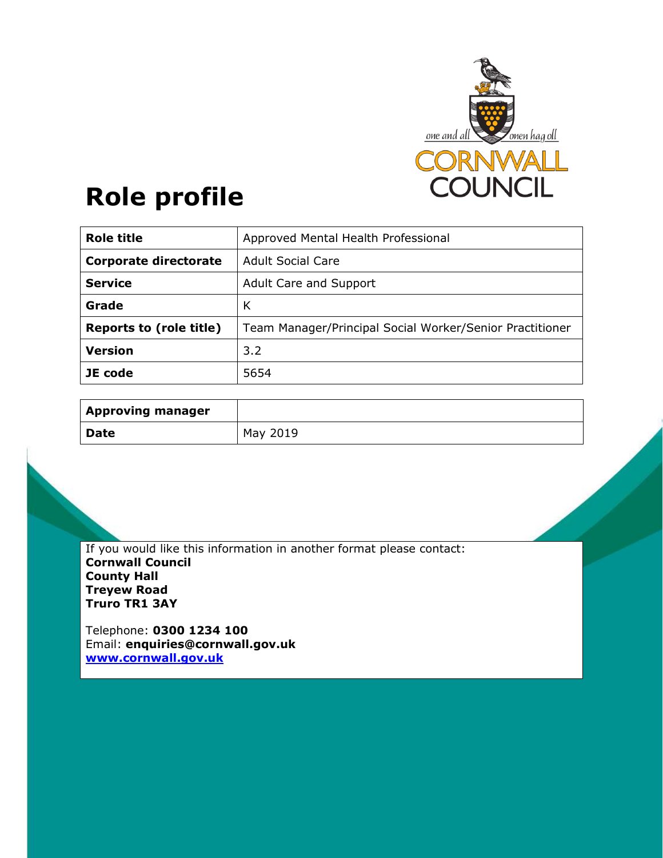

# **Role profile**

| <b>Role title</b>            | Approved Mental Health Professional                      |
|------------------------------|----------------------------------------------------------|
| <b>Corporate directorate</b> | <b>Adult Social Care</b>                                 |
| <b>Service</b>               | Adult Care and Support                                   |
| Grade                        | К                                                        |
| Reports to (role title)      | Team Manager/Principal Social Worker/Senior Practitioner |
| <b>Version</b>               | 3.2                                                      |
| JE code                      | 5654                                                     |

| <b>Approving manager</b> |          |
|--------------------------|----------|
| Date                     | May 2019 |

If you would like this information in another format please contact: **Cornwall Council County Hall Treyew Road Truro TR1 3AY** 

Telephone: **0300 1234 100** Email: **enquiries@cornwall.gov.uk www.cornwall.gov.uk**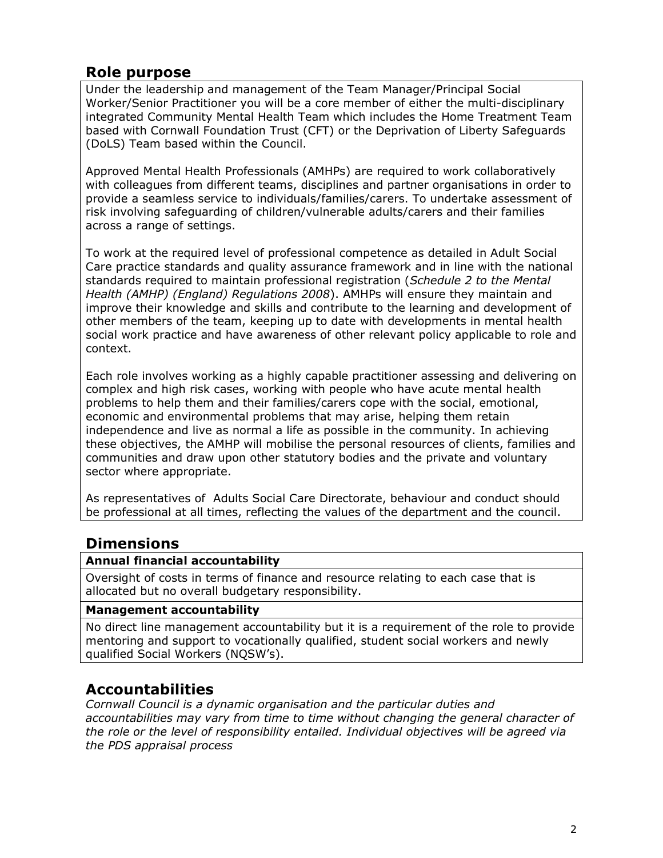## **Role purpose**

Under the leadership and management of the Team Manager/Principal Social Worker/Senior Practitioner you will be a core member of either the multi-disciplinary integrated Community Mental Health Team which includes the Home Treatment Team based with Cornwall Foundation Trust (CFT) or the Deprivation of Liberty Safeguards (DoLS) Team based within the Council.

Approved Mental Health Professionals (AMHPs) are required to work collaboratively with colleagues from different teams, disciplines and partner organisations in order to provide a seamless service to individuals/families/carers. To undertake assessment of risk involving safeguarding of children/vulnerable adults/carers and their families across a range of settings.

To work at the required level of professional competence as detailed in Adult Social Care practice standards and quality assurance framework and in line with the national standards required to maintain professional registration (*Schedule 2 to the Mental Health (AMHP) (England) Regulations 2008*). AMHPs will ensure they maintain and improve their knowledge and skills and contribute to the learning and development of other members of the team, keeping up to date with developments in mental health social work practice and have awareness of other relevant policy applicable to role and context.

Each role involves working as a highly capable practitioner assessing and delivering on complex and high risk cases, working with people who have acute mental health problems to help them and their families/carers cope with the social, emotional, economic and environmental problems that may arise, helping them retain independence and live as normal a life as possible in the community. In achieving these objectives, the AMHP will mobilise the personal resources of clients, families and communities and draw upon other statutory bodies and the private and voluntary sector where appropriate.

As representatives of Adults Social Care Directorate, behaviour and conduct should be professional at all times, reflecting the values of the department and the council.

## **Dimensions**

### **Annual financial accountability**

Oversight of costs in terms of finance and resource relating to each case that is allocated but no overall budgetary responsibility.

#### **Management accountability**

No direct line management accountability but it is a requirement of the role to provide mentoring and support to vocationally qualified, student social workers and newly qualified Social Workers (NQSW's).

## **Accountabilities**

*Cornwall Council is a dynamic organisation and the particular duties and accountabilities may vary from time to time without changing the general character of the role or the level of responsibility entailed. Individual objectives will be agreed via the PDS appraisal process*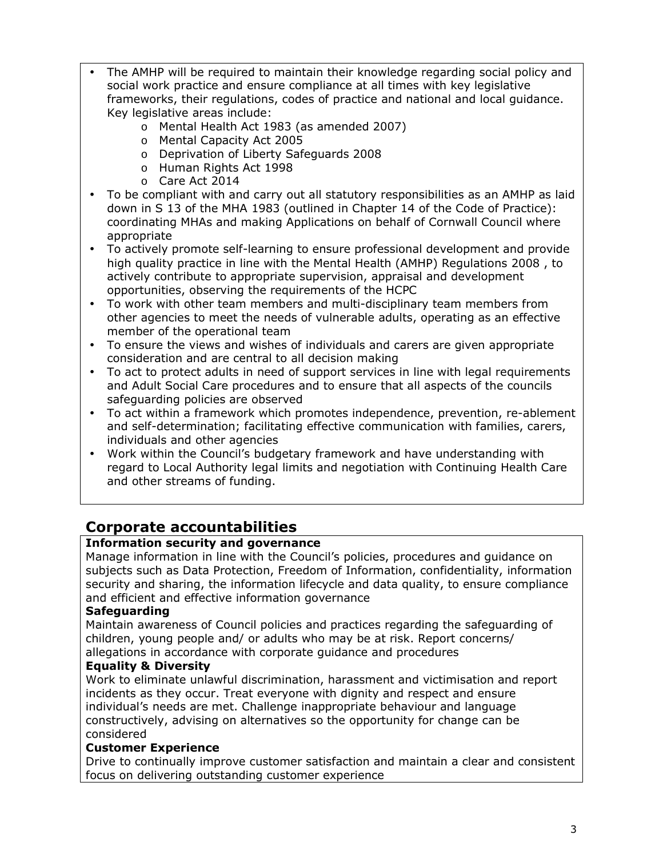- The AMHP will be required to maintain their knowledge regarding social policy and social work practice and ensure compliance at all times with key legislative frameworks, their regulations, codes of practice and national and local guidance. Key legislative areas include:
	- o Mental Health Act 1983 (as amended 2007)
	- o Mental Capacity Act 2005
	- o Deprivation of Liberty Safeguards 2008
	- o Human Rights Act 1998
	- o Care Act 2014
- To be compliant with and carry out all statutory responsibilities as an AMHP as laid down in S 13 of the MHA 1983 (outlined in Chapter 14 of the Code of Practice): coordinating MHAs and making Applications on behalf of Cornwall Council where appropriate
- To actively promote self-learning to ensure professional development and provide high quality practice in line with the Mental Health (AMHP) Regulations 2008 , to actively contribute to appropriate supervision, appraisal and development opportunities, observing the requirements of the HCPC
- To work with other team members and multi-disciplinary team members from other agencies to meet the needs of vulnerable adults, operating as an effective member of the operational team
- To ensure the views and wishes of individuals and carers are given appropriate consideration and are central to all decision making
- To act to protect adults in need of support services in line with legal requirements and Adult Social Care procedures and to ensure that all aspects of the councils safeguarding policies are observed
- To act within a framework which promotes independence, prevention, re-ablement and self-determination; facilitating effective communication with families, carers, individuals and other agencies
- Work within the Council's budgetary framework and have understanding with regard to Local Authority legal limits and negotiation with Continuing Health Care and other streams of funding.

## **Corporate accountabilities**

### **Information security and governance**

Manage information in line with the Council's policies, procedures and guidance on subjects such as Data Protection, Freedom of Information, confidentiality, information security and sharing, the information lifecycle and data quality, to ensure compliance and efficient and effective information governance

### **Safeguarding**

Maintain awareness of Council policies and practices regarding the safeguarding of children, young people and/ or adults who may be at risk. Report concerns/ allegations in accordance with corporate guidance and procedures

### **Equality & Diversity**

Work to eliminate unlawful discrimination, harassment and victimisation and report incidents as they occur. Treat everyone with dignity and respect and ensure individual's needs are met. Challenge inappropriate behaviour and language constructively, advising on alternatives so the opportunity for change can be considered

### **Customer Experience**

Drive to continually improve customer satisfaction and maintain a clear and consistent focus on delivering outstanding customer experience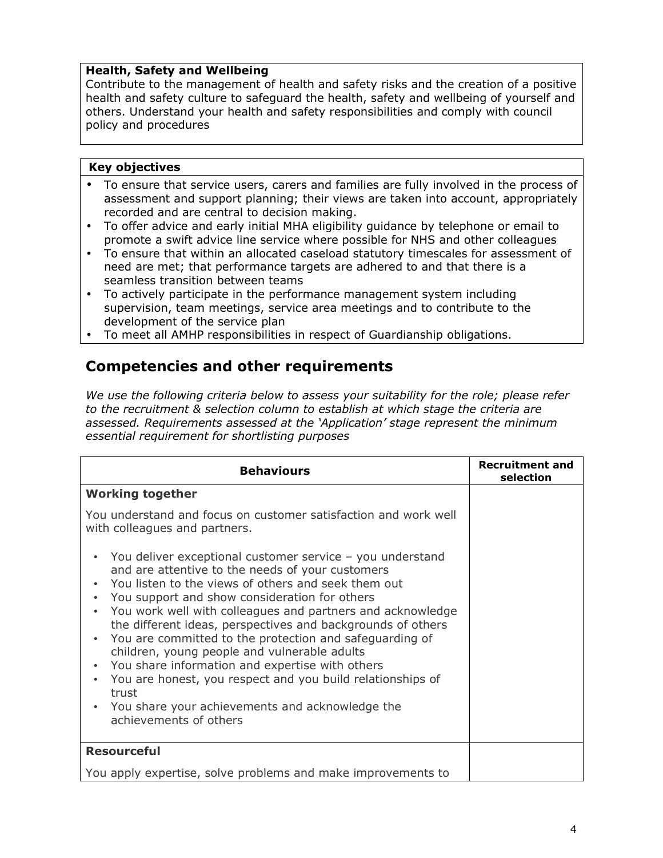#### **Health, Safety and Wellbeing**

Contribute to the management of health and safety risks and the creation of a positive health and safety culture to safeguard the health, safety and wellbeing of yourself and others. Understand your health and safety responsibilities and comply with council policy and procedures

#### **Key objectives**

- To ensure that service users, carers and families are fully involved in the process of assessment and support planning; their views are taken into account, appropriately recorded and are central to decision making.
- To offer advice and early initial MHA eligibility guidance by telephone or email to promote a swift advice line service where possible for NHS and other colleagues
- To ensure that within an allocated caseload statutory timescales for assessment of need are met; that performance targets are adhered to and that there is a seamless transition between teams
- To actively participate in the performance management system including supervision, team meetings, service area meetings and to contribute to the development of the service plan
- To meet all AMHP responsibilities in respect of Guardianship obligations.

## **Competencies and other requirements**

*We use the following criteria below to assess your suitability for the role; please refer to the recruitment & selection column to establish at which stage the criteria are assessed. Requirements assessed at the 'Application' stage represent the minimum essential requirement for shortlisting purposes* 

| <b>Behaviours</b>                                                                                                                                                                                                                                                                                                                                                                                                                                                                                                                                                                                                                                                                              | <b>Recruitment and</b><br>selection |
|------------------------------------------------------------------------------------------------------------------------------------------------------------------------------------------------------------------------------------------------------------------------------------------------------------------------------------------------------------------------------------------------------------------------------------------------------------------------------------------------------------------------------------------------------------------------------------------------------------------------------------------------------------------------------------------------|-------------------------------------|
| <b>Working together</b>                                                                                                                                                                                                                                                                                                                                                                                                                                                                                                                                                                                                                                                                        |                                     |
| You understand and focus on customer satisfaction and work well<br>with colleagues and partners.                                                                                                                                                                                                                                                                                                                                                                                                                                                                                                                                                                                               |                                     |
| You deliver exceptional customer service - you understand<br>and are attentive to the needs of your customers<br>You listen to the views of others and seek them out<br>You support and show consideration for others<br>$\bullet$<br>You work well with colleagues and partners and acknowledge<br>the different ideas, perspectives and backgrounds of others<br>You are committed to the protection and safeguarding of<br>$\bullet$<br>children, young people and vulnerable adults<br>You share information and expertise with others<br>You are honest, you respect and you build relationships of<br>trust<br>You share your achievements and acknowledge the<br>achievements of others |                                     |
| <b>Resourceful</b>                                                                                                                                                                                                                                                                                                                                                                                                                                                                                                                                                                                                                                                                             |                                     |
| You apply expertise, solve problems and make improvements to                                                                                                                                                                                                                                                                                                                                                                                                                                                                                                                                                                                                                                   |                                     |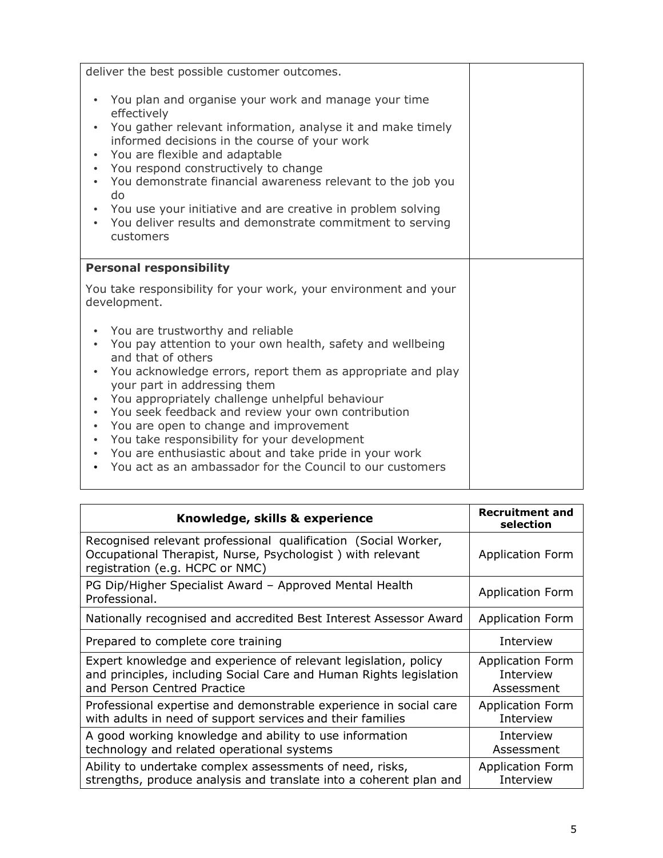| deliver the best possible customer outcomes.<br>You plan and organise your work and manage your time<br>effectively<br>You gather relevant information, analyse it and make timely<br>informed decisions in the course of your work<br>You are flexible and adaptable<br>$\bullet$<br>You respond constructively to change<br>$\bullet$                                                                                                                                                                                                                                              |  |
|--------------------------------------------------------------------------------------------------------------------------------------------------------------------------------------------------------------------------------------------------------------------------------------------------------------------------------------------------------------------------------------------------------------------------------------------------------------------------------------------------------------------------------------------------------------------------------------|--|
| You demonstrate financial awareness relevant to the job you<br>do<br>You use your initiative and are creative in problem solving<br>You deliver results and demonstrate commitment to serving<br>customers                                                                                                                                                                                                                                                                                                                                                                           |  |
| <b>Personal responsibility</b>                                                                                                                                                                                                                                                                                                                                                                                                                                                                                                                                                       |  |
| You take responsibility for your work, your environment and your<br>development.                                                                                                                                                                                                                                                                                                                                                                                                                                                                                                     |  |
| You are trustworthy and reliable<br>You pay attention to your own health, safety and wellbeing<br>$\bullet$<br>and that of others<br>You acknowledge errors, report them as appropriate and play<br>your part in addressing them<br>You appropriately challenge unhelpful behaviour<br>You seek feedback and review your own contribution<br>$\bullet$<br>You are open to change and improvement<br>$\bullet$<br>You take responsibility for your development<br>You are enthusiastic about and take pride in your work<br>You act as an ambassador for the Council to our customers |  |

| Knowledge, skills & experience                                                                                                                                       | <b>Recruitment and</b><br>selection         |
|----------------------------------------------------------------------------------------------------------------------------------------------------------------------|---------------------------------------------|
| Recognised relevant professional qualification (Social Worker,<br>Occupational Therapist, Nurse, Psychologist) with relevant<br>registration (e.g. HCPC or NMC)      | <b>Application Form</b>                     |
| PG Dip/Higher Specialist Award - Approved Mental Health<br>Professional.                                                                                             | <b>Application Form</b>                     |
| Nationally recognised and accredited Best Interest Assessor Award                                                                                                    | <b>Application Form</b>                     |
| Prepared to complete core training                                                                                                                                   | Interview                                   |
| Expert knowledge and experience of relevant legislation, policy<br>and principles, including Social Care and Human Rights legislation<br>and Person Centred Practice | Application Form<br>Interview<br>Assessment |
| Professional expertise and demonstrable experience in social care<br>with adults in need of support services and their families                                      | <b>Application Form</b><br>Interview        |
| A good working knowledge and ability to use information<br>technology and related operational systems                                                                | Interview<br>Assessment                     |
| Ability to undertake complex assessments of need, risks,<br>strengths, produce analysis and translate into a coherent plan and                                       | <b>Application Form</b><br>Interview        |